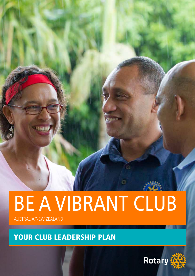# BE A VIBRANT CLUB

AUSTRALIA/NEW ZEALAND

YOUR CLUB LEADERSHIP PLAN

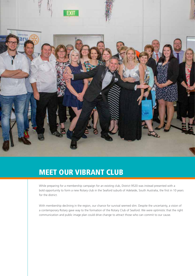

## MEET OUR VIBRANT CLUB

While preparing for a membership campaign for an existing club, District 9520 was instead presented with a bold opportunity to form a new Rotary club in the Seaford suburb of Adelaide, South Australia, the first in 10 years for the district.

With membership declining in the region, our chance for survival seemed slim. Despite the uncertainty, a vision of a contemporary Rotary gave way to the formation of the Rotary Club of Seaford. We were optimistic that the right communication and public image plan could drive change to attract those who can commit to our cause.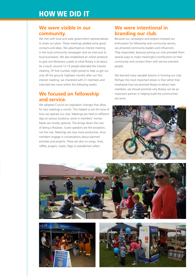### HOW WE DID IT

#### **We were visible in our community.**

We met with local and state government representatives to share our plans. These meetings yielded some good contacts and ideas. We advertised an interest meeting in the local community newspaper and via mail-outs to local businesses. We also established an online presence to give non-Rotarians a peek at what Rotary is all about. As a result, around 12-15 people attended the interest meeting. Of that number, eight joined to help us get our club off the ground. Eighteen months after our first interest meeting, we chartered with 21 members and inducted two more within the following weeks.

#### **We focused on fellowship and service.**

We adopted Council on Legislation changes that allow for two meetings a month. This helped us set the tone of how we operate our club. Meetings are held on different days at various locations, some in members' homes. Meals are mostly optional. This brings down the cost of being a Rotarian. Guest speakers are the exception, not the rule. Meetings are now more productive, since members engage in conversations about planned activities and projects. There are also no songs, fines, raffles, prayers, toasts, flags or presidential collars.

#### **We were intentional in branding our club.**

Because our campaigns and projects showed our enthusiasm for fellowship and community service, we attracted community leaders and influencers. They responded, because joining our club provided them several ways to make meaningful contributions to their community and connect them with service-oriented people.

We learned many valuable lessons in forming our club. Perhaps the most important lesson is that rather than emphasize how we promote Rotary to attract new members, we should promote why Rotary can be an important partner in helping build the communities we serve.